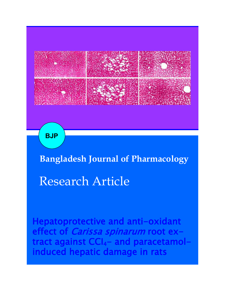

**BJP**

**Bangladesh Journal of Pharmacology** 

# Research Article

Hepatoprotective and anti-oxidant effect of *Carissa spinarum* root extract against CCI4- and paracetamolinduced hepatic damage in rats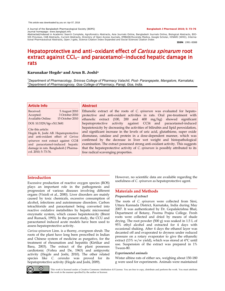A Journal of the Bangladesh Pharmacological Society (BDPS) **Bangladesh J Pharmacol 2010; 5: 73-76** Journal homepage: www.banglajol.info

Abstracted/indexed in Academic Search Complete, Agroforestry Abstracts, Asia Journals Online, Bangladesh Journals Online, Biological Abstracts, BIO-<br>SIS Previews, CAB Abstracts, Current Abstracts, Directory of Open Access tional Pharmaceutical Abstracts, Open J-gate, Science Citation Index Expanded and Social Sciences Citation Index

**ISSN**: 1991-0088

## Hepatoprotective and anti-oxidant effect of *Carissa spinarum* root extract against CCI<sub>4</sub>- and paracetamol-induced hepatic damage in rats

## **Karunakar Hegde<sup>1</sup> and Arun B. Joshi<sup>2</sup>**

*<sup>1</sup>Department of Pharmacology, Srinivas College of Pharmacy Valachil, Post- Parangepete, Mangalore, Karnataka; <sup>2</sup>Department of Pharmacognosy, Goa College of Pharmacy, Panaji, Goa, India.*

#### **Article Info**

| Received:                                               | 5 August 2010   |
|---------------------------------------------------------|-----------------|
| Accepted:                                               | 3 October 2010  |
| Available Online:                                       | 15 October 2010 |
| DOI: 10.3329/bjp.v5i1.5681                              |                 |
| Cite this article:<br>Hegde K Joshi AB Henatoprotective |                 |

Hegde K, Joshi AB. Hepatoprotective and anti-oxidant effect of *Carissa spinarum* root extract against CCI4 and paracetamol-induced hepatic damage in rats. Bangladesh J Pharmacol. 2010; 5: 73-76.

#### **Abstract**

Ethanolic extract of the roots of *C. spinarum* was evaluated for hepatoprotective and anti-oxidant activities in rats. Oral pre-treatment with ethanolic extract (100, 200 and 400 mg/kg) showed significant hepatoprotective activity against CCl4 and paracetamol-induced hepatotoxicity by decreasing the activities of bilirubin and lipid peroxidation, and significant increase in the levels of uric acid, glutathione, super oxide dismutase, catalase and protein in a dose-dependent manner, which was confirmed by the decrease in liver wet weight and histopathological examination. The extract possessed strong anti-oxidant activity. This suggests that the hepatoprotective activity of *C. spinarum* is possibly attributed to its free radical scavenging properties.

## **Introduction**

Excessive production of reactive oxygen species (ROS) plays an important role in the pathogenesis and progression of various diseases involving different organs (Visioli et al., 2000). Liver disorders are mainly caused by toxic chemicals, excessive consumption of alcohol, infections and autoimmune disorders. Carbon tetrachloride and paracetamol being converted into reactive oxidative metabolites by hepatic microsomal enzymatic system, which causes hepatotoxicity (Brent and Rumack, 1993). In the present study, the CCU and paracetamol induced acute models have been used to assess hepatoprotective activity.

*Carissa spinarum* Linn. is a thorny, evergreen shrub. The roots of the plant have long been prescribed in Indian and Chinese system of medicine as purgative, for the treatment of rheumatism and hepatitis (Kirtikar and Basu, 2003). The extract of the plant possesses cardiotonic (Vohra and De, 1963) and antipyretic activity (Hegde and Joshi, 2010). The other related species like *C. carandas* was proved for its hepatoprotective activity (Hegde and Joshi, 2009).

However, no scientific data are available regarding the usefulness of *C. spinarum* as hepatoprotective agent.

## **Materials and Methods**

#### *Preparation of extract*

The roots of *C. spinarum* were collected from Sirsi, Uttara Kannada District, Karnataka, India during May 2007. It was authenticated by Dr. Gopalakrishna Bhat, Department of Botany, Poorna Prajna College. Fresh roots were collected and dried by means of shade drying. The root powder (500 g) was soaked in 1.5 L of 95% ethyl alcohol and extracted for 4 days with occasional shaking. After 4 days the ethanol layer was decanted off and evaporated to dryness under reduced pressure on a rotary evaporator to give the ethanolic extract (13% w/w yield), which was stored at 4°C until use. Suspension of the extract was prepared in 1% Tween-80.

#### *Experimental animals*

Wistar albino rats of either sex, weighing about 150-180 g were used for experiments. Animals were maintained



This work is licensed under a Creative Commons Attribution 4.0 License. You are free to copy, distribute and perform the work. You must attribute the work in the manner specified by the author or licensor.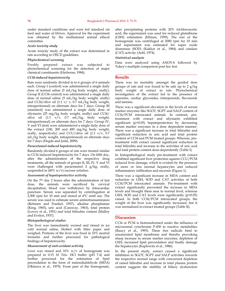under standard conditions and were fed standard rat feed and water *ad libitum*. Approval for the experiment was obtained by the institutional animal ethical committee.

#### *Acute toxicity study*

Acute toxicity study of the extract was determined in rats according to OECD guidelines.

#### *Phytochemical screening*

Freshly prepared extract was subjected phytochemical screening for the detection of major chemical constituents (Harborne, 1984).

#### *CCl4-induced hepatotoxicity*

Rats were randomly divided in to 6 groups of 6 animals each. Group I (control) was administered a single daily dose of normal saline (5 mL/kg body weight, orally). Group II (CCl4 control) was administered a single daily dose of normal saline (5 mL/kg body weight, orally) and CCl4/olive oil (1:1 v/ v,  $0.\overline{7}$  mL/kg body weight, intraperitoneal) on alternate days for 7 days. Group III (standard) was administered a single daily dose of silymarin (25 mg/kg body weight, orally) and CCl4/ olive oil  $(1:1 \ v/v, 0.7 \ mL/kg, body weight,$ intraperitoneal) on alternate days for 7 days. Group IV, V and VI (test) were administered a single daily dose of the extract (100, 200 and 400 mg/kg body weight, orally, respectively) and CCU/olive oil (1:1 v/v, 0.7 mL/kg body weight, intraperitoneal) on alternate days for 7 days (Hegde and Joshi, 2009).

#### *Paracetamol-induced hepatotoxicity*

Randomly divided 6 groups of rats were treated similar to CCl4 induced hepatotoxicity for 7 days. On fifth day, after the administration of the respective drug treatments, all the animals of groups II, III, IV, V and VI were challenged with paracetamol 2 g/kg, orally, suspended in  $(40\% \text{ w/v})$  sucrose solution.

#### *Assessment of hepatoprotective activity*

On the 7th day 2 hours after the administration of last dose, the animals were sacrificed by cervical decapitation; blood was withdrawn by intracardiac puncture. Serum was separated by centrifugation at 2,500 rpm for 10 min and stored at 4°C until use. The serum was used to estimate serum aminotransaminases (Retimen and Frankel, 1957), alkaline phosphatase (King, 1965), uric acid (Caraway, 1963), total protein (Lowry et al., 1951) and total bilirubin content (Malloy and Evelyn, 1937).

## *Histopathological studies*

The liver was immediately excised and rinsed in ice cold normal saline, blotted with filter paper and weighed. Portions of the liver was fixed in 10% neutral formalin and further processed for pathological findings of hepatotoxicity.

#### *Measurement of anti-oxidant activity*

Liver was rinsed and  $10\%$  w/v of homogenate was prepared in 0.15 *M* Tris- HCl buffer (pH 7.4) and further processed for the estimation of lipid peroxidation in the form of malondialdehyde (MDA) (Okhawa et al., 1979). From part of the homogenate,

after precipitating proteins with 20% trichloroacetic acid, the supernatant was used for reduced glutathione (GSH) estimation (Ellman, 1959). The rest of the homogenate was centrifuged at 2000 rpm for 10 min and supernatant was estimated for super oxide dismutase (SOD) (Kakkar et al., 1984) and catalase (CAT) activity (Aebi, 1974).

#### *Statistical analysis*

Data were analyzed using ANOVA followed by Tukey's multiple comparison post hoc test.

#### **Results**

There was no mortality amongst the graded dose groups of rats and was found to be safe up to 2 g/kg body weight of extract in rats. Phytochemical investigation of the extract led to the presence of saponins, cardiac glycosides, triterpenoids, flavonoids and tannins.

There was a significant elevation in the levels of serum marker enzymes like SGOT, SGPT and SALP content of CCl4/PCM intoxicated animals. In contrast, pretreatment with extract and silymarin exhibited significant (p<0.05) hepatoprotection by decreasing serum marker enzymes in a dose dependent manner. There was a significant increase in total bilirubin and significant reduction in uric acid and total protein content of CCl4 and PCM treated groups. Whereas, pretreatment with extract caused significant reduction in total bilirubin and increase in the activities of uric acid and total protein content dose-dependently (Table I).

In histopathological study pre-treatment with extract exhibited significant liver protection against CCU/PCM induced liver damage, which is evident by the presence of more or less normal hepatocytes and reduced inflammatory infiltration and necrosis (Figure 1).

There was a significant increase in MDA content and reduction in GSH, SOD and CAT activities of both CCl4/PCM intoxicated animals. Pre-treatment with extract significantly prevented the increase in MDA levels and brought them near to normal level, whereas GSH, SOD and CAT levels were significantly (p<0.05) raised. In both CCl4/PCM intoxicated groups, the weight of the liver was significantly increased, but it was normalized in extract treated groups (Table II).

## **Discussion**

CCl4 or PCM is biotransformed under the influence of microsomal cytochrome P-450 to reactive metabolites (Raucy et al., 1993). These free radicals bind to unsaturated lipid membrane and thereby provoking sharp increase in serum marker enzymes, depletion of GSH, increased lipid peroxidation and finally damage the hepatocytes (Kaplowitz et al., 1986).

In the present study, extract caused a significant inhibition in SGOT, SGPT and SALP activities towards the respective normal range with concurrent depletion of raised bilirubin and increase in total plasma protein content suggests the stability of biliary dysfunction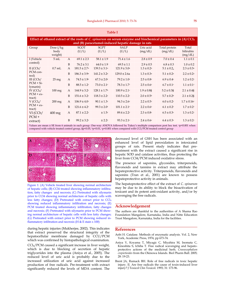| <b>Table I</b>                                                                                                                                                                   |                                |              |                              |                              |                            |                       |                            |                               |  |  |
|----------------------------------------------------------------------------------------------------------------------------------------------------------------------------------|--------------------------------|--------------|------------------------------|------------------------------|----------------------------|-----------------------|----------------------------|-------------------------------|--|--|
| Effect of ethanol extract of the roots of C. spinarum on serum enzyme and biochemical parameters in $(A)$ CCI <sub>4</sub><br>and (B) paracetamol-induced hepatic damage in rats |                                |              |                              |                              |                            |                       |                            |                               |  |  |
| Group                                                                                                                                                                            | Dose $//kg$<br>body<br>weight) |              | <b>SGOT</b><br>(U/L)         | <b>SGPT</b><br>(U/L)         | <b>SALP</b><br>(U/L)       | Uric acid<br>(mg/dL)  | Total protein<br>(mg/dL)   | Total<br>bilirubin<br>(mg/dL) |  |  |
| I (Vehicle                                                                                                                                                                       | 5mL                            | $\mathsf{A}$ | $69.1 \pm 2.3$               | $58.1 \pm 1.9$               | $71.4 \pm 1.6$             | $2.8 \pm 0.9$         | $7.0 \pm 0.4$              | $1.1 \pm 0.1$                 |  |  |
| control)                                                                                                                                                                         |                                | B            | $76.2 \pm 3.1$               | $64.0 \pm 1.9$               | $69.5 \pm 1.1$             | $2.9 \pm 0.5$         | $6.8 \pm 0.3$              | $1.0 \pm 0.2$                 |  |  |
| II $(CCh/$<br>PCM con-<br>trol)                                                                                                                                                  | $0.7$ mL                       | $\mathbf{A}$ | $181.5 \pm 2.7$ <sup>a</sup> | $139.3 \pm 3.1^{\rm a}$      | $121.9 \pm 3.0^{\text{a}}$ | $1.3 \pm 0.2^{\rm a}$ | $5.1 \pm 0.2$ <sub>a</sub> | $2.3 \pm 0.3^{\rm a}$         |  |  |
|                                                                                                                                                                                  |                                | B            | $186.3 \pm 3.9^{\rm a}$      | $141.2 \pm 3.2$ <sup>a</sup> | $129.0 \pm 2.6a$           | $1.3 \pm 0.3^{\rm a}$ | $5.1 \pm 0.2^{\rm a}$      | $2.2 \pm 0.2^{\rm a}$         |  |  |
| III $(CCh/$<br>$PCM + Si-$<br>lymarin)                                                                                                                                           | $25 \,\mathrm{mg}$             | A            | $74.5 \pm 1.9$ c             | $67.3 \pm 2.0$ c             | $79.2 \pm 1.0$ c           | $2.5 \pm 0.8$ c       | $6.9 \pm 0.4$ c            | $1.2 \pm 0.2$ c               |  |  |
|                                                                                                                                                                                  |                                | B            | $88.5 \pm 1.2$ c             | $73.0 \pm 2.1$ c             | $78.3 \pm 1.7$ c           | $2.5 \pm 0.6c$        | $6.7 \pm 0.1$ c            | $1.1 \pm 0.1$ c               |  |  |
| IV $(CCl4$ /<br>$PCM + ex-$<br>tract)                                                                                                                                            | $100$ mg                       | $\mathbf{A}$ | $144.9 \pm 3.2$ c            | $128.1 \pm 1.7$ <sup>b</sup> | $100.9 \pm 2.1$ c          | $1.9 \pm 0.8$ \$      | $5.2 \pm 0.3$ \$           | $2.1 \pm 0.4$ §               |  |  |
|                                                                                                                                                                                  |                                | B            | $151.6 \pm 3.2$ c            | $118.3 \pm 2.2$ c            | $110.5 \pm 2.2$ c          | $2.0 \pm 0.5^{\rm b}$ | $5.7 \pm 0.2^{\rm b}$      | $2.1 \pm 0.2$ §               |  |  |
| $V$ (CCl <sub>4</sub> /                                                                                                                                                          | $200$ mg                       | A            | $106.9 \pm 4.0$ c            | $90.1 \pm 1.3$ c             | $94.3 \pm 2.6$ c           | $2.2 \pm 0.5c$        | $6.0 \pm 0.2$ c            | $1.7 \pm 0.16c$               |  |  |
| $PCM + ex$<br>tract)                                                                                                                                                             |                                | B            | $121.6 \pm 4.2$ c            | $99.3 \pm 2.0$ c             | $101.1 \pm 2.1$ c          | $2.2 \pm 0.6c$        | $6.1 \pm 0.2$ c            | $1.7 \pm 0.2$ c               |  |  |
| $VI$ (CCb/<br>$PCM +$                                                                                                                                                            | 400 mg                         | A            | $87.1 \pm 2.2$ c             | ± 1.5c                       | $89.4 \pm 2.2$ c           | $2.3 \pm 0.8c$        | $6.5 \pm 0.3c$             | $1.3 \pm 0.2c$                |  |  |
| extract)                                                                                                                                                                         |                                | $\mathbf{B}$ | $99.2 \pm 3.2$ c             | ± 2.2 <sup>c</sup>           | $93.3 \pm 2.1$ c           | $2.4 \pm 0.6c$        | $6.4 \pm 0.3$ c            | $1.3 \pm 0.2$ c               |  |  |
| Values are mean $\pm$ SE from 6 animals in each group. One-way ANOVA followed by Tukey's multiple comparison post hoc test. $^{a}p$ <0.001 when                                  |                                |              |                              |                              |                            |                       |                            |                               |  |  |

compared with vehicle treated control group, §p<0.05, bp<0.01, cp<0.001 when compared with CCl/PCM treated control group



Figure 1: (A) Vehicle treated liver showing normal architecture of hepatic cells; (B) CCl4 treated showing inflammatory infiltration, fatty changes and necrosis; (C) Pretreated with silymarin prior to CCl4 showing normal architecture of hepatic cells with less fatty changes; (D) Pretreated with extract prior to CCl<sup>4</sup> showing reduced inflammatory infiltration and necrosis; (E) PCM treated showing inflammatory infiltration, fatty changes and necrosis; (F) Pretreated with silymarin prior to PCM showing normal architecture of hepatic cells with less fatty changes; (G) Pretreated with extract prior to PCM showing reduced inflammatory infiltration and necrosis (H  $\&$  E stain x 100)

during hepatic injuries (Mukherjee, 2002). This indicates that extract preserved the structural integrity of the hepatocellular membrane damaged by CCU/PCM which was confirmed by histopathological examination.

CCl4/PCM caused a significant increase in liver weight, which is due to blocking of secretion of hepatic triglycerides into the plasma (Aniya et al., 2005). The reduced level of uric acid is probably due to the increased utilization of uric acid against increased production of free radicals. Pre-treatment with extract significantly reduced the levels of MDA content. The

decreased level of GSH has been associated with an enhanced level of lipid peroxidation in intoxicated groups of rats. Present study indicates that pretreatment with the extract caused a significant rise in hepatic SOD and catalase activities, thus protecting the liver from CCl4/PCM induced oxidative stress.

The presence of saponins, glycosides, triterpenoids, flavonoids and tannins in extract may attribute the hepatoprotective activity. Triterpenoids, flavonoids and saponins (Tran et al., 2001) are known to possess hepatoprotective activity in animals.

The hepatoprotective effect of the extract of *C. spinarum*  may be due to its ability to block the bioactivation of toxicant and its potent anti-oxidant activity, and/or by scavenging the free radicals.

## **Acknowledgement**

The authors are thankful to the authorities of A Shama Rao Foundation Mangalore, Karnataka, India and Nitte Education Trust Mangalore, Karnataka, India for the facilities.

## **References**

- Aebi H. Catalase. Methods of enzymatic analysis. Vol. 2, New York, Academic Press, 1974, pp 673-74.
- Aniya Y, Koyama T, Miyagic C, Miyahira M, Inomata C, Kinoshita S, Ichiba T. Free radical scavenging and hepatoprotective actions of the medicinal herb, *Crassocephalum crepietioides* from the Okinowa Islands. Biol Pharm Bull. 2005; 28: 19-23.
- Brent JA, Rumack BH. Role of free radicals in toxic hepatic injury. II. Are free radicals the cause of toxin-induced liver injury? J Toxicol Clin Toxicol. 1993; 31: 173-96.